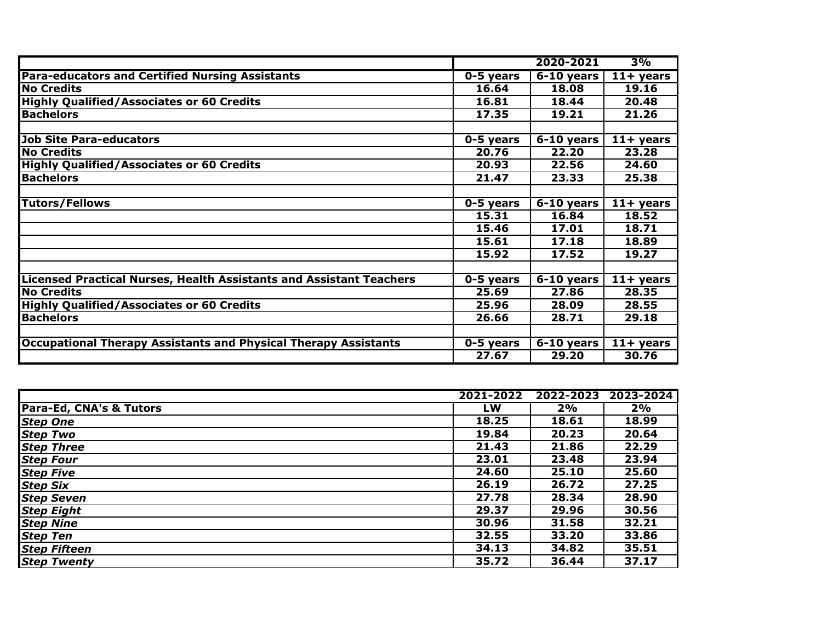|                                                                            |             | 2020-2021               | 3%                  |
|----------------------------------------------------------------------------|-------------|-------------------------|---------------------|
| <b>Para-educators and Certified Nursing Assistants</b>                     | $0-5$ years | $6-10$ years            | $11 + \text{years}$ |
| <b>No Credits</b>                                                          | 16.64       | 18.08                   | 19.16               |
| <b>Highly Qualified/Associates or 60 Credits</b>                           | 16.81       | 18.44                   | 20.48               |
| <b>Bachelors</b>                                                           | 17.35       | 19.21                   | 21.26               |
|                                                                            |             |                         |                     |
| <b>Job Site Para-educators</b>                                             | 0-5 years   | $\overline{6-10}$ years | $11+$ years         |
| <b>No Credits</b>                                                          | 20.76       | 22.20                   | 23.28               |
| <b>Highly Qualified/Associates or 60 Credits</b>                           | 20.93       | 22.56                   | 24.60               |
| <b>Bachelors</b>                                                           | 21.47       | 23.33                   | 25.38               |
|                                                                            |             |                         |                     |
| <b>Tutors/Fellows</b>                                                      | 0-5 years   | $6-10$ years            | $11+$ years         |
|                                                                            | 15.31       | 16.84                   | 18.52               |
|                                                                            | 15.46       | 17.01                   | 18.71               |
|                                                                            | 15.61       | 17.18                   | 18.89               |
|                                                                            | 15.92       | 17.52                   | 19.27               |
|                                                                            |             |                         |                     |
| <b>Licensed Practical Nurses, Health Assistants and Assistant Teachers</b> | 0-5 years   | $6-10$ years            | $11 + \text{years}$ |
| <b>No Credits</b>                                                          | 25.69       | 27.86                   | 28.35               |
| <b>Highly Qualified/Associates or 60 Credits</b>                           | 25.96       | 28.09                   | 28.55               |
| <b>Bachelors</b>                                                           | 26.66       | 28.71                   | 29.18               |
|                                                                            |             |                         |                     |
| <b>Occupational Therapy Assistants and Physical Therapy Assistants</b>     | 0-5 years   | $6-10$ years            | $11 + \text{years}$ |
|                                                                            | 27.67       | 29.20                   | 30.76               |

|                         | 2021-2022 | 2022-2023 | 2023-2024 |
|-------------------------|-----------|-----------|-----------|
| Para-Ed, CNA's & Tutors | LW        | 2%        | 2%        |
| <b>Step One</b>         | 18.25     | 18.61     | 18.99     |
| <b>Step Two</b>         | 19.84     | 20.23     | 20.64     |
| <b>Step Three</b>       | 21.43     | 21.86     | 22.29     |
| <b>Step Four</b>        | 23.01     | 23.48     | 23.94     |
| <b>Step Five</b>        | 24.60     | 25.10     | 25.60     |
| <b>Step Six</b>         | 26.19     | 26.72     | 27.25     |
| <b>Step Seven</b>       | 27.78     | 28.34     | 28.90     |
| <b>Step Eight</b>       | 29.37     | 29.96     | 30.56     |
| <b>Step Nine</b>        | 30.96     | 31.58     | 32.21     |
| <b>Step Ten</b>         | 32.55     | 33.20     | 33.86     |
| <b>Step Fifteen</b>     | 34.13     | 34.82     | 35.51     |
| <b>Step Twenty</b>      | 35.72     | 36.44     | 37.17     |